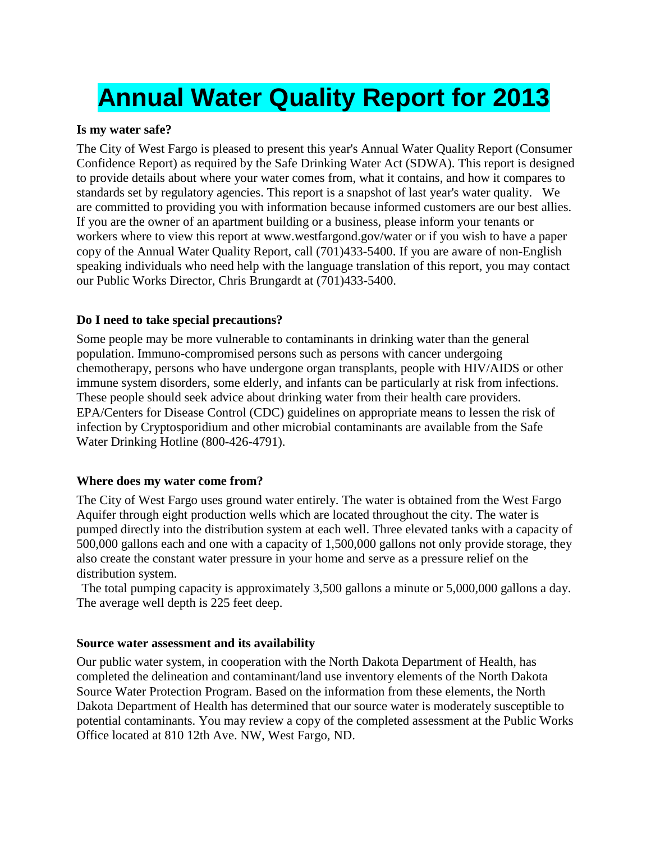# **Annual Water Quality Report for 2013**

#### **Is my water safe?**

The City of West Fargo is pleased to present this year's Annual Water Quality Report (Consumer Confidence Report) as required by the Safe Drinking Water Act (SDWA). This report is designed to provide details about where your water comes from, what it contains, and how it compares to standards set by regulatory agencies. This report is a snapshot of last year's water quality. We are committed to providing you with information because informed customers are our best allies. If you are the owner of an apartment building or a business, please inform your tenants or workers where to view this report at www.westfargond.gov/water or if you wish to have a paper copy of the Annual Water Quality Report, call (701)433-5400. If you are aware of non-English speaking individuals who need help with the language translation of this report, you may contact our Public Works Director, Chris Brungardt at (701)433-5400.

#### **Do I need to take special precautions?**

Some people may be more vulnerable to contaminants in drinking water than the general population. Immuno-compromised persons such as persons with cancer undergoing chemotherapy, persons who have undergone organ transplants, people with HIV/AIDS or other immune system disorders, some elderly, and infants can be particularly at risk from infections. These people should seek advice about drinking water from their health care providers. EPA/Centers for Disease Control (CDC) guidelines on appropriate means to lessen the risk of infection by Cryptosporidium and other microbial contaminants are available from the Safe Water Drinking Hotline (800-426-4791).

#### **Where does my water come from?**

The City of West Fargo uses ground water entirely. The water is obtained from the West Fargo Aquifer through eight production wells which are located throughout the city. The water is pumped directly into the distribution system at each well. Three elevated tanks with a capacity of 500,000 gallons each and one with a capacity of 1,500,000 gallons not only provide storage, they also create the constant water pressure in your home and serve as a pressure relief on the distribution system.

The total pumping capacity is approximately 3,500 gallons a minute or 5,000,000 gallons a day. The average well depth is 225 feet deep.

#### **Source water assessment and its availability**

Our public water system, in cooperation with the North Dakota Department of Health, has completed the delineation and contaminant/land use inventory elements of the North Dakota Source Water Protection Program. Based on the information from these elements, the North Dakota Department of Health has determined that our source water is moderately susceptible to potential contaminants. You may review a copy of the completed assessment at the Public Works Office located at 810 12th Ave. NW, West Fargo, ND.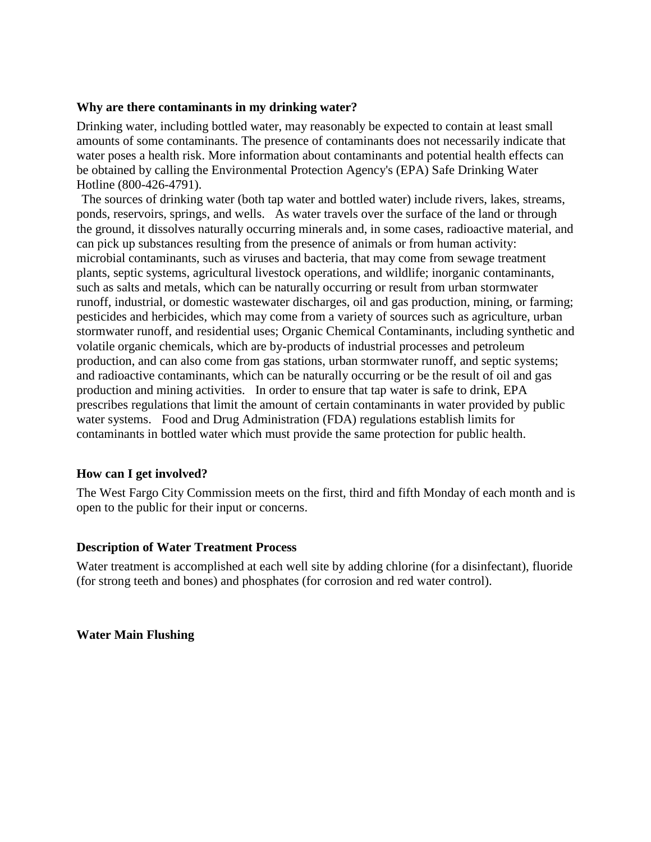#### **Why are there contaminants in my drinking water?**

Drinking water, including bottled water, may reasonably be expected to contain at least small amounts of some contaminants. The presence of contaminants does not necessarily indicate that water poses a health risk. More information about contaminants and potential health effects can be obtained by calling the Environmental Protection Agency's (EPA) Safe Drinking Water Hotline (800-426-4791).

The sources of drinking water (both tap water and bottled water) include rivers, lakes, streams, ponds, reservoirs, springs, and wells. As water travels over the surface of the land or through the ground, it dissolves naturally occurring minerals and, in some cases, radioactive material, and can pick up substances resulting from the presence of animals or from human activity: microbial contaminants, such as viruses and bacteria, that may come from sewage treatment plants, septic systems, agricultural livestock operations, and wildlife; inorganic contaminants, such as salts and metals, which can be naturally occurring or result from urban stormwater runoff, industrial, or domestic wastewater discharges, oil and gas production, mining, or farming; pesticides and herbicides, which may come from a variety of sources such as agriculture, urban stormwater runoff, and residential uses; Organic Chemical Contaminants, including synthetic and volatile organic chemicals, which are by-products of industrial processes and petroleum production, and can also come from gas stations, urban stormwater runoff, and septic systems; and radioactive contaminants, which can be naturally occurring or be the result of oil and gas production and mining activities. In order to ensure that tap water is safe to drink, EPA prescribes regulations that limit the amount of certain contaminants in water provided by public water systems. Food and Drug Administration (FDA) regulations establish limits for contaminants in bottled water which must provide the same protection for public health.

#### **How can I get involved?**

The West Fargo City Commission meets on the first, third and fifth Monday of each month and is open to the public for their input or concerns.

#### **Description of Water Treatment Process**

Water treatment is accomplished at each well site by adding chlorine (for a disinfectant), fluoride (for strong teeth and bones) and phosphates (for corrosion and red water control).

#### **Water Main Flushing**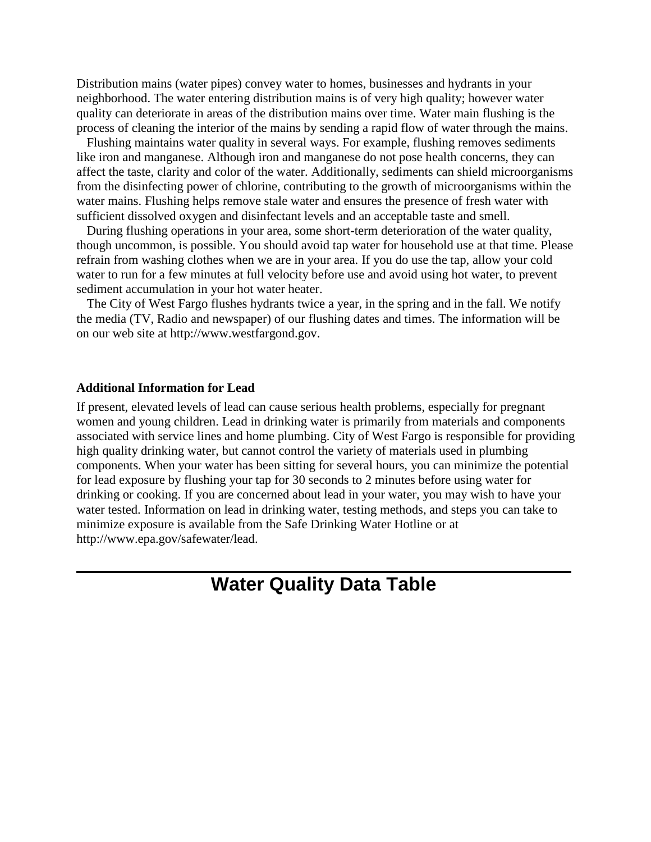Distribution mains (water pipes) convey water to homes, businesses and hydrants in your neighborhood. The water entering distribution mains is of very high quality; however water quality can deteriorate in areas of the distribution mains over time. Water main flushing is the process of cleaning the interior of the mains by sending a rapid flow of water through the mains.

 Flushing maintains water quality in several ways. For example, flushing removes sediments like iron and manganese. Although iron and manganese do not pose health concerns, they can affect the taste, clarity and color of the water. Additionally, sediments can shield microorganisms from the disinfecting power of chlorine, contributing to the growth of microorganisms within the water mains. Flushing helps remove stale water and ensures the presence of fresh water with sufficient dissolved oxygen and disinfectant levels and an acceptable taste and smell.

 During flushing operations in your area, some short-term deterioration of the water quality, though uncommon, is possible. You should avoid tap water for household use at that time. Please refrain from washing clothes when we are in your area. If you do use the tap, allow your cold water to run for a few minutes at full velocity before use and avoid using hot water, to prevent sediment accumulation in your hot water heater.

 The City of West Fargo flushes hydrants twice a year, in the spring and in the fall. We notify the media (TV, Radio and newspaper) of our flushing dates and times. The information will be on our web site at http://www.westfargond.gov.

#### **Additional Information for Lead**

If present, elevated levels of lead can cause serious health problems, especially for pregnant women and young children. Lead in drinking water is primarily from materials and components associated with service lines and home plumbing. City of West Fargo is responsible for providing high quality drinking water, but cannot control the variety of materials used in plumbing components. When your water has been sitting for several hours, you can minimize the potential for lead exposure by flushing your tap for 30 seconds to 2 minutes before using water for drinking or cooking. If you are concerned about lead in your water, you may wish to have your water tested. Information on lead in drinking water, testing methods, and steps you can take to minimize exposure is available from the Safe Drinking Water Hotline or at http://www.epa.gov/safewater/lead.

## **Water Quality Data Table**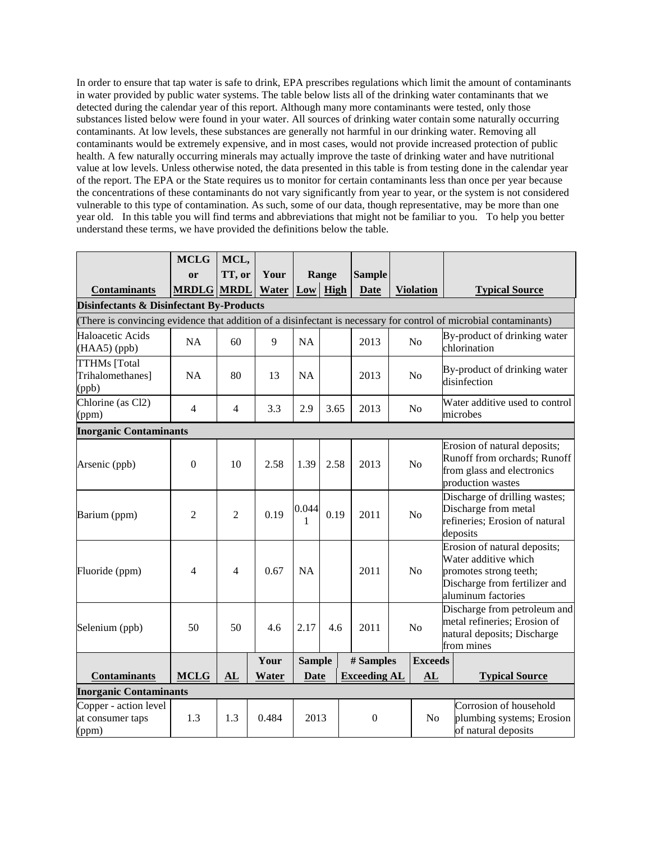In order to ensure that tap water is safe to drink, EPA prescribes regulations which limit the amount of contaminants in water provided by public water systems. The table below lists all of the drinking water contaminants that we detected during the calendar year of this report. Although many more contaminants were tested, only those substances listed below were found in your water. All sources of drinking water contain some naturally occurring contaminants. At low levels, these substances are generally not harmful in our drinking water. Removing all contaminants would be extremely expensive, and in most cases, would not provide increased protection of public health. A few naturally occurring minerals may actually improve the taste of drinking water and have nutritional value at low levels. Unless otherwise noted, the data presented in this table is from testing done in the calendar year of the report. The EPA or the State requires us to monitor for certain contaminants less than once per year because the concentrations of these contaminants do not vary significantly from year to year, or the system is not considered vulnerable to this type of contamination. As such, some of our data, though representative, may be more than one year old. In this table you will find terms and abbreviations that might not be familiar to you. To help you better understand these terms, we have provided the definitions below the table.

|                                                     | <b>MCLG</b>       | MCL,           |       |               |       |                     |  |                  |                                                                                                                 |                                                                                                                                       |
|-----------------------------------------------------|-------------------|----------------|-------|---------------|-------|---------------------|--|------------------|-----------------------------------------------------------------------------------------------------------------|---------------------------------------------------------------------------------------------------------------------------------------|
|                                                     | or                | TT, or         | Your  |               | Range | <b>Sample</b>       |  |                  |                                                                                                                 |                                                                                                                                       |
| <b>Contaminants</b>                                 | <b>MRDLG MRDL</b> |                | Water | $Low$ High    |       | <b>Date</b>         |  | <b>Violation</b> |                                                                                                                 | <b>Typical Source</b>                                                                                                                 |
| <b>Disinfectants &amp; Disinfectant By-Products</b> |                   |                |       |               |       |                     |  |                  |                                                                                                                 |                                                                                                                                       |
|                                                     |                   |                |       |               |       |                     |  |                  |                                                                                                                 | (There is convincing evidence that addition of a disinfectant is necessary for control of microbial contaminants)                     |
| Haloacetic Acids<br>(HAA5) (ppb)                    | <b>NA</b>         | 60             | 9     | <b>NA</b>     |       | 2013                |  | No               |                                                                                                                 | By-product of drinking water<br>chlorination                                                                                          |
| <b>TTHMs</b> [Total<br>Trihalomethanes]<br>(ppb)    | <b>NA</b>         | 80             | 13    | <b>NA</b>     |       | 2013                |  | N <sub>o</sub>   |                                                                                                                 | By-product of drinking water<br>disinfection                                                                                          |
| Chlorine (as Cl2)<br>(ppm)                          | $\overline{4}$    | $\overline{4}$ | 3.3   | 2.9           | 3.65  | 2013                |  | N <sub>o</sub>   |                                                                                                                 | Water additive used to control<br>microbes                                                                                            |
| <b>Inorganic Contaminants</b>                       |                   |                |       |               |       |                     |  |                  |                                                                                                                 |                                                                                                                                       |
| Arsenic (ppb)                                       | $\boldsymbol{0}$  | 10             | 2.58  | 1.39          | 2.58  | 2013                |  | N <sub>o</sub>   | Erosion of natural deposits;<br>Runoff from orchards; Runoff<br>from glass and electronics<br>production wastes |                                                                                                                                       |
| Barium (ppm)                                        | $\overline{2}$    | $\overline{2}$ | 0.19  | 0.044<br>1    | 0.19  | 2011                |  | N <sub>o</sub>   |                                                                                                                 | Discharge of drilling wastes;<br>Discharge from metal<br>refineries; Erosion of natural<br>deposits                                   |
| Fluoride (ppm)                                      | 4                 | 4              | 0.67  | <b>NA</b>     |       | 2011                |  | N <sub>o</sub>   |                                                                                                                 | Erosion of natural deposits;<br>Water additive which<br>promotes strong teeth;<br>Discharge from fertilizer and<br>aluminum factories |
| Selenium (ppb)                                      | 50                | 50             | 4.6   | 2.17          | 4.6   | 2011                |  | N <sub>o</sub>   |                                                                                                                 | Discharge from petroleum and<br>metal refineries; Erosion of<br>natural deposits; Discharge<br>from mines                             |
|                                                     |                   |                | Your  | <b>Sample</b> |       | # Samples           |  | <b>Exceeds</b>   |                                                                                                                 |                                                                                                                                       |
| <b>Contaminants</b>                                 | <b>MCLG</b>       | AL             | Water | <b>Date</b>   |       | <b>Exceeding AL</b> |  | AL               |                                                                                                                 | <b>Typical Source</b>                                                                                                                 |
| <b>Inorganic Contaminants</b>                       |                   |                |       |               |       |                     |  |                  |                                                                                                                 |                                                                                                                                       |
| Copper - action level<br>at consumer taps<br>(ppm)  | 1.3               | 1.3            | 0.484 | 2013          |       | $\boldsymbol{0}$    |  | N <sub>o</sub>   |                                                                                                                 | Corrosion of household<br>plumbing systems; Erosion<br>of natural deposits                                                            |